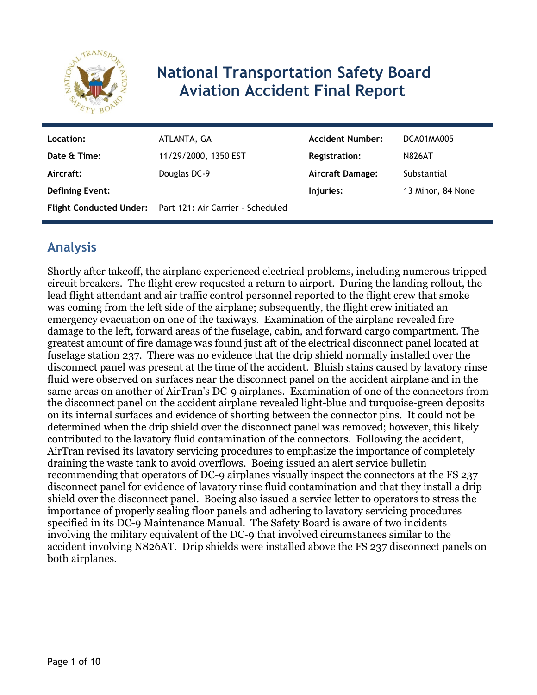

# **National Transportation Safety Board Aviation Accident Final Report**

| Location:              | ATLANTA, GA                                               | <b>Accident Number:</b> | DCA01MA005        |
|------------------------|-----------------------------------------------------------|-------------------------|-------------------|
| Date & Time:           | 11/29/2000, 1350 EST                                      | <b>Registration:</b>    | <b>N826AT</b>     |
| Aircraft:              | Douglas DC-9                                              | <b>Aircraft Damage:</b> | Substantial       |
| <b>Defining Event:</b> |                                                           | Injuries:               | 13 Minor, 84 None |
|                        | Flight Conducted Under: Part 121: Air Carrier - Scheduled |                         |                   |

# **Analysis**

Shortly after takeoff, the airplane experienced electrical problems, including numerous tripped circuit breakers. The flight crew requested a return to airport. During the landing rollout, the lead flight attendant and air traffic control personnel reported to the flight crew that smoke was coming from the left side of the airplane; subsequently, the flight crew initiated an emergency evacuation on one of the taxiways. Examination of the airplane revealed fire damage to the left, forward areas of the fuselage, cabin, and forward cargo compartment. The greatest amount of fire damage was found just aft of the electrical disconnect panel located at fuselage station 237. There was no evidence that the drip shield normally installed over the disconnect panel was present at the time of the accident. Bluish stains caused by lavatory rinse fluid were observed on surfaces near the disconnect panel on the accident airplane and in the same areas on another of AirTran's DC-9 airplanes. Examination of one of the connectors from the disconnect panel on the accident airplane revealed light-blue and turquoise-green deposits on its internal surfaces and evidence of shorting between the connector pins. It could not be determined when the drip shield over the disconnect panel was removed; however, this likely contributed to the lavatory fluid contamination of the connectors. Following the accident, AirTran revised its lavatory servicing procedures to emphasize the importance of completely draining the waste tank to avoid overflows. Boeing issued an alert service bulletin recommending that operators of DC-9 airplanes visually inspect the connectors at the FS 237 disconnect panel for evidence of lavatory rinse fluid contamination and that they install a drip shield over the disconnect panel. Boeing also issued a service letter to operators to stress the importance of properly sealing floor panels and adhering to lavatory servicing procedures specified in its DC-9 Maintenance Manual. The Safety Board is aware of two incidents involving the military equivalent of the DC-9 that involved circumstances similar to the accident involving N826AT. Drip shields were installed above the FS 237 disconnect panels on both airplanes.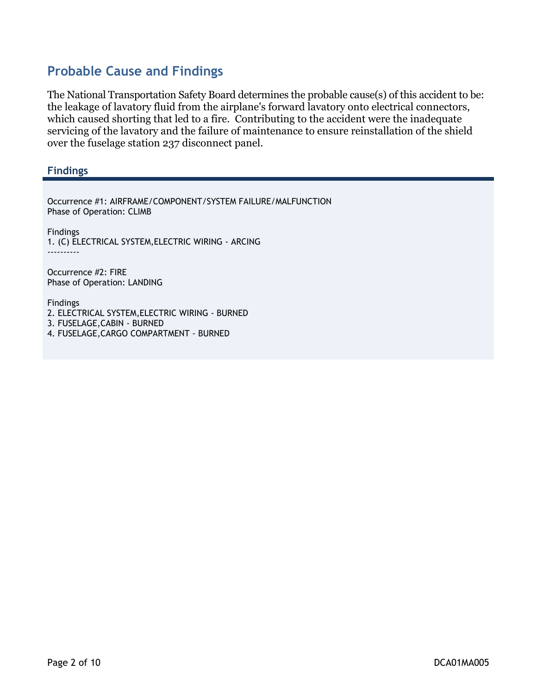# **Probable Cause and Findings**

The National Transportation Safety Board determines the probable cause(s) of this accident to be: the leakage of lavatory fluid from the airplane's forward lavatory onto electrical connectors, which caused shorting that led to a fire. Contributing to the accident were the inadequate servicing of the lavatory and the failure of maintenance to ensure reinstallation of the shield over the fuselage station 237 disconnect panel.

#### **Findings**

Occurrence #1: AIRFRAME/COMPONENT/SYSTEM FAILURE/MALFUNCTION Phase of Operation: CLIMB Findings 1. (C) ELECTRICAL SYSTEM,ELECTRIC WIRING - ARCING ---------- Occurrence #2: FIRE Phase of Operation: LANDING Findings 2. ELECTRICAL SYSTEM,ELECTRIC WIRING - BURNED 3. FUSELAGE,CABIN - BURNED

4. FUSELAGE,CARGO COMPARTMENT - BURNED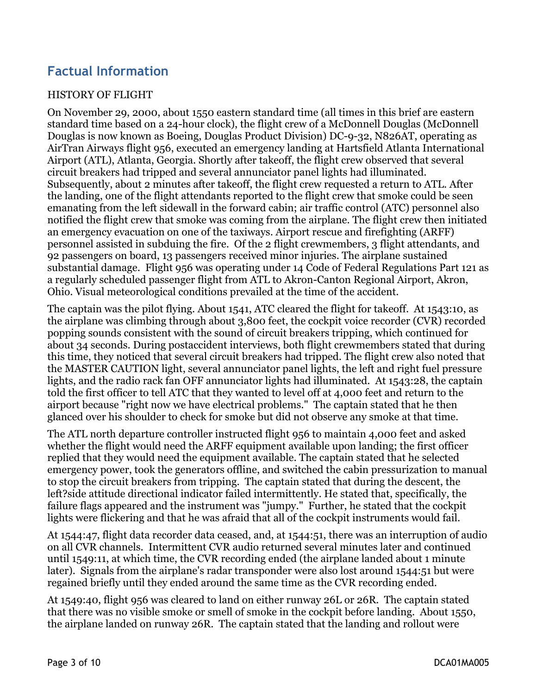# **Factual Information**

#### HISTORY OF FLIGHT

On November 29, 2000, about 1550 eastern standard time (all times in this brief are eastern standard time based on a 24-hour clock), the flight crew of a McDonnell Douglas (McDonnell Douglas is now known as Boeing, Douglas Product Division) DC-9-32, N826AT, operating as AirTran Airways flight 956, executed an emergency landing at Hartsfield Atlanta International Airport (ATL), Atlanta, Georgia. Shortly after takeoff, the flight crew observed that several circuit breakers had tripped and several annunciator panel lights had illuminated. Subsequently, about 2 minutes after takeoff, the flight crew requested a return to ATL. After the landing, one of the flight attendants reported to the flight crew that smoke could be seen emanating from the left sidewall in the forward cabin; air traffic control (ATC) personnel also notified the flight crew that smoke was coming from the airplane. The flight crew then initiated an emergency evacuation on one of the taxiways. Airport rescue and firefighting (ARFF) personnel assisted in subduing the fire. Of the 2 flight crewmembers, 3 flight attendants, and 92 passengers on board, 13 passengers received minor injuries. The airplane sustained substantial damage. Flight 956 was operating under 14 Code of Federal Regulations Part 121 as a regularly scheduled passenger flight from ATL to Akron-Canton Regional Airport, Akron, Ohio. Visual meteorological conditions prevailed at the time of the accident.

The captain was the pilot flying. About 1541, ATC cleared the flight for takeoff. At 1543:10, as the airplane was climbing through about 3,800 feet, the cockpit voice recorder (CVR) recorded popping sounds consistent with the sound of circuit breakers tripping, which continued for about 34 seconds. During postaccident interviews, both flight crewmembers stated that during this time, they noticed that several circuit breakers had tripped. The flight crew also noted that the MASTER CAUTION light, several annunciator panel lights, the left and right fuel pressure lights, and the radio rack fan OFF annunciator lights had illuminated. At 1543:28, the captain told the first officer to tell ATC that they wanted to level off at 4,000 feet and return to the airport because "right now we have electrical problems." The captain stated that he then glanced over his shoulder to check for smoke but did not observe any smoke at that time.

The ATL north departure controller instructed flight 956 to maintain 4,000 feet and asked whether the flight would need the ARFF equipment available upon landing; the first officer replied that they would need the equipment available. The captain stated that he selected emergency power, took the generators offline, and switched the cabin pressurization to manual to stop the circuit breakers from tripping. The captain stated that during the descent, the left?side attitude directional indicator failed intermittently. He stated that, specifically, the failure flags appeared and the instrument was "jumpy." Further, he stated that the cockpit lights were flickering and that he was afraid that all of the cockpit instruments would fail.

At 1544:47, flight data recorder data ceased, and, at 1544:51, there was an interruption of audio on all CVR channels. Intermittent CVR audio returned several minutes later and continued until 1549:11, at which time, the CVR recording ended (the airplane landed about 1 minute later). Signals from the airplane's radar transponder were also lost around 1544:51 but were regained briefly until they ended around the same time as the CVR recording ended.

At 1549:40, flight 956 was cleared to land on either runway 26L or 26R. The captain stated that there was no visible smoke or smell of smoke in the cockpit before landing. About 1550, the airplane landed on runway 26R. The captain stated that the landing and rollout were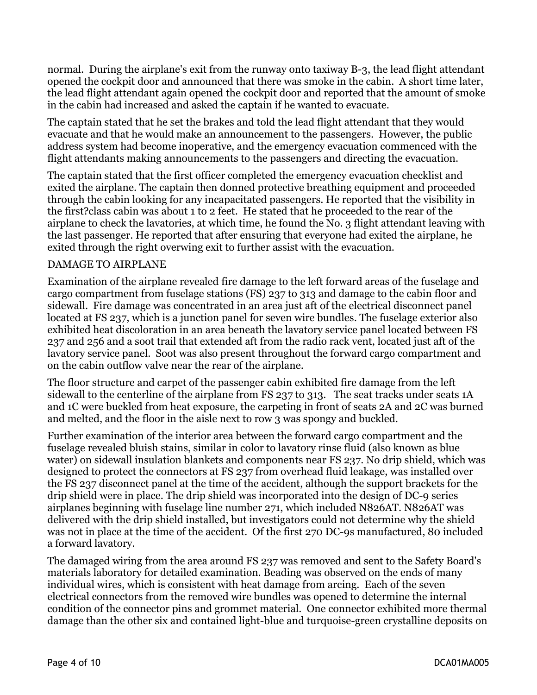normal. During the airplane's exit from the runway onto taxiway B-3, the lead flight attendant opened the cockpit door and announced that there was smoke in the cabin. A short time later, the lead flight attendant again opened the cockpit door and reported that the amount of smoke in the cabin had increased and asked the captain if he wanted to evacuate.

The captain stated that he set the brakes and told the lead flight attendant that they would evacuate and that he would make an announcement to the passengers. However, the public address system had become inoperative, and the emergency evacuation commenced with the flight attendants making announcements to the passengers and directing the evacuation.

The captain stated that the first officer completed the emergency evacuation checklist and exited the airplane. The captain then donned protective breathing equipment and proceeded through the cabin looking for any incapacitated passengers. He reported that the visibility in the first?class cabin was about 1 to 2 feet. He stated that he proceeded to the rear of the airplane to check the lavatories, at which time, he found the No. 3 flight attendant leaving with the last passenger. He reported that after ensuring that everyone had exited the airplane, he exited through the right overwing exit to further assist with the evacuation.

#### DAMAGE TO AIRPLANE

Examination of the airplane revealed fire damage to the left forward areas of the fuselage and cargo compartment from fuselage stations (FS) 237 to 313 and damage to the cabin floor and sidewall. Fire damage was concentrated in an area just aft of the electrical disconnect panel located at FS 237, which is a junction panel for seven wire bundles. The fuselage exterior also exhibited heat discoloration in an area beneath the lavatory service panel located between FS 237 and 256 and a soot trail that extended aft from the radio rack vent, located just aft of the lavatory service panel. Soot was also present throughout the forward cargo compartment and on the cabin outflow valve near the rear of the airplane.

The floor structure and carpet of the passenger cabin exhibited fire damage from the left sidewall to the centerline of the airplane from FS 237 to 313. The seat tracks under seats 1A and 1C were buckled from heat exposure, the carpeting in front of seats 2A and 2C was burned and melted, and the floor in the aisle next to row 3 was spongy and buckled.

Further examination of the interior area between the forward cargo compartment and the fuselage revealed bluish stains, similar in color to lavatory rinse fluid (also known as blue water) on sidewall insulation blankets and components near FS 237. No drip shield, which was designed to protect the connectors at FS 237 from overhead fluid leakage, was installed over the FS 237 disconnect panel at the time of the accident, although the support brackets for the drip shield were in place. The drip shield was incorporated into the design of DC-9 series airplanes beginning with fuselage line number 271, which included N826AT. N826AT was delivered with the drip shield installed, but investigators could not determine why the shield was not in place at the time of the accident. Of the first 270 DC-9s manufactured, 80 included a forward lavatory.

The damaged wiring from the area around FS 237 was removed and sent to the Safety Board's materials laboratory for detailed examination. Beading was observed on the ends of many individual wires, which is consistent with heat damage from arcing. Each of the seven electrical connectors from the removed wire bundles was opened to determine the internal condition of the connector pins and grommet material. One connector exhibited more thermal damage than the other six and contained light-blue and turquoise-green crystalline deposits on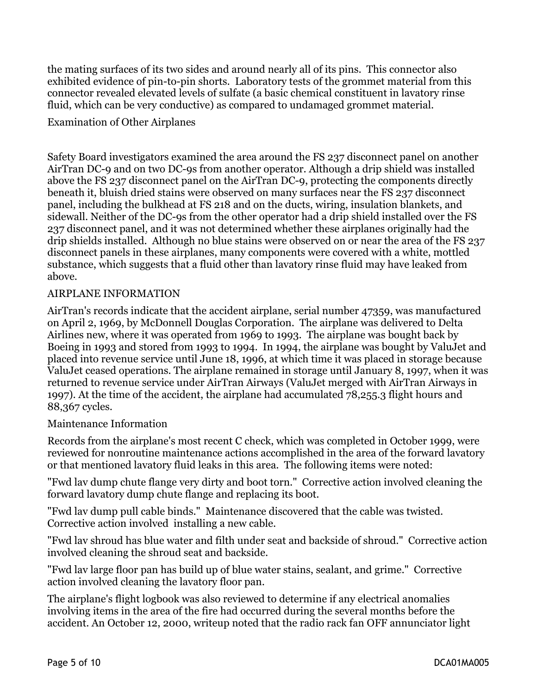the mating surfaces of its two sides and around nearly all of its pins. This connector also exhibited evidence of pin-to-pin shorts. Laboratory tests of the grommet material from this connector revealed elevated levels of sulfate (a basic chemical constituent in lavatory rinse fluid, which can be very conductive) as compared to undamaged grommet material.

#### Examination of Other Airplanes

Safety Board investigators examined the area around the FS 237 disconnect panel on another AirTran DC-9 and on two DC-9s from another operator. Although a drip shield was installed above the FS 237 disconnect panel on the AirTran DC-9, protecting the components directly beneath it, bluish dried stains were observed on many surfaces near the FS 237 disconnect panel, including the bulkhead at FS 218 and on the ducts, wiring, insulation blankets, and sidewall. Neither of the DC-9s from the other operator had a drip shield installed over the FS 237 disconnect panel, and it was not determined whether these airplanes originally had the drip shields installed. Although no blue stains were observed on or near the area of the FS 237 disconnect panels in these airplanes, many components were covered with a white, mottled substance, which suggests that a fluid other than lavatory rinse fluid may have leaked from above.

#### AIRPLANE INFORMATION

AirTran's records indicate that the accident airplane, serial number 47359, was manufactured on April 2, 1969, by McDonnell Douglas Corporation. The airplane was delivered to Delta Airlines new, where it was operated from 1969 to 1993. The airplane was bought back by Boeing in 1993 and stored from 1993 to 1994. In 1994, the airplane was bought by ValuJet and placed into revenue service until June 18, 1996, at which time it was placed in storage because ValuJet ceased operations. The airplane remained in storage until January 8, 1997, when it was returned to revenue service under AirTran Airways (ValuJet merged with AirTran Airways in 1997). At the time of the accident, the airplane had accumulated 78,255.3 flight hours and 88,367 cycles.

#### Maintenance Information

Records from the airplane's most recent C check, which was completed in October 1999, were reviewed for nonroutine maintenance actions accomplished in the area of the forward lavatory or that mentioned lavatory fluid leaks in this area. The following items were noted:

"Fwd lav dump chute flange very dirty and boot torn." Corrective action involved cleaning the forward lavatory dump chute flange and replacing its boot.

"Fwd lav dump pull cable binds." Maintenance discovered that the cable was twisted. Corrective action involved installing a new cable.

"Fwd lav shroud has blue water and filth under seat and backside of shroud." Corrective action involved cleaning the shroud seat and backside.

"Fwd lav large floor pan has build up of blue water stains, sealant, and grime." Corrective action involved cleaning the lavatory floor pan.

The airplane's flight logbook was also reviewed to determine if any electrical anomalies involving items in the area of the fire had occurred during the several months before the accident. An October 12, 2000, writeup noted that the radio rack fan OFF annunciator light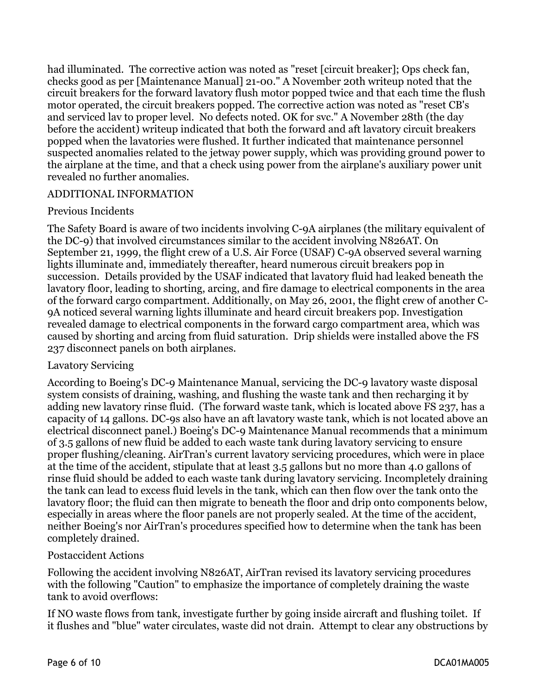had illuminated. The corrective action was noted as "reset [circuit breaker]; Ops check fan, checks good as per [Maintenance Manual] 21-00." A November 20th writeup noted that the circuit breakers for the forward lavatory flush motor popped twice and that each time the flush motor operated, the circuit breakers popped. The corrective action was noted as "reset CB's and serviced lav to proper level. No defects noted. OK for svc." A November 28th (the day before the accident) writeup indicated that both the forward and aft lavatory circuit breakers popped when the lavatories were flushed. It further indicated that maintenance personnel suspected anomalies related to the jetway power supply, which was providing ground power to the airplane at the time, and that a check using power from the airplane's auxiliary power unit revealed no further anomalies.

#### ADDITIONAL INFORMATION

#### Previous Incidents

The Safety Board is aware of two incidents involving C-9A airplanes (the military equivalent of the DC-9) that involved circumstances similar to the accident involving N826AT. On September 21, 1999, the flight crew of a U.S. Air Force (USAF) C-9A observed several warning lights illuminate and, immediately thereafter, heard numerous circuit breakers pop in succession. Details provided by the USAF indicated that lavatory fluid had leaked beneath the lavatory floor, leading to shorting, arcing, and fire damage to electrical components in the area of the forward cargo compartment. Additionally, on May 26, 2001, the flight crew of another C-9A noticed several warning lights illuminate and heard circuit breakers pop. Investigation revealed damage to electrical components in the forward cargo compartment area, which was caused by shorting and arcing from fluid saturation. Drip shields were installed above the FS 237 disconnect panels on both airplanes.

#### Lavatory Servicing

According to Boeing's DC-9 Maintenance Manual, servicing the DC-9 lavatory waste disposal system consists of draining, washing, and flushing the waste tank and then recharging it by adding new lavatory rinse fluid. (The forward waste tank, which is located above FS 237, has a capacity of 14 gallons. DC-9s also have an aft lavatory waste tank, which is not located above an electrical disconnect panel.) Boeing's DC-9 Maintenance Manual recommends that a minimum of 3.5 gallons of new fluid be added to each waste tank during lavatory servicing to ensure proper flushing/cleaning. AirTran's current lavatory servicing procedures, which were in place at the time of the accident, stipulate that at least 3.5 gallons but no more than 4.0 gallons of rinse fluid should be added to each waste tank during lavatory servicing. Incompletely draining the tank can lead to excess fluid levels in the tank, which can then flow over the tank onto the lavatory floor; the fluid can then migrate to beneath the floor and drip onto components below, especially in areas where the floor panels are not properly sealed. At the time of the accident, neither Boeing's nor AirTran's procedures specified how to determine when the tank has been completely drained.

#### Postaccident Actions

Following the accident involving N826AT, AirTran revised its lavatory servicing procedures with the following "Caution" to emphasize the importance of completely draining the waste tank to avoid overflows:

If NO waste flows from tank, investigate further by going inside aircraft and flushing toilet. If it flushes and "blue" water circulates, waste did not drain. Attempt to clear any obstructions by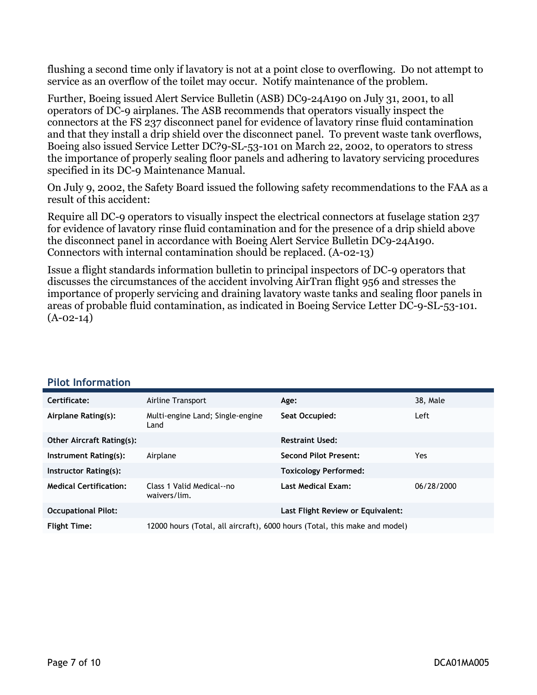flushing a second time only if lavatory is not at a point close to overflowing. Do not attempt to service as an overflow of the toilet may occur. Notify maintenance of the problem.

Further, Boeing issued Alert Service Bulletin (ASB) DC9-24A190 on July 31, 2001, to all operators of DC-9 airplanes. The ASB recommends that operators visually inspect the connectors at the FS 237 disconnect panel for evidence of lavatory rinse fluid contamination and that they install a drip shield over the disconnect panel. To prevent waste tank overflows, Boeing also issued Service Letter DC?9-SL-53-101 on March 22, 2002, to operators to stress the importance of properly sealing floor panels and adhering to lavatory servicing procedures specified in its DC-9 Maintenance Manual.

On July 9, 2002, the Safety Board issued the following safety recommendations to the FAA as a result of this accident:

Require all DC-9 operators to visually inspect the electrical connectors at fuselage station 237 for evidence of lavatory rinse fluid contamination and for the presence of a drip shield above the disconnect panel in accordance with Boeing Alert Service Bulletin DC9-24A190. Connectors with internal contamination should be replaced. (A-02-13)

Issue a flight standards information bulletin to principal inspectors of DC-9 operators that discusses the circumstances of the accident involving AirTran flight 956 and stresses the importance of properly servicing and draining lavatory waste tanks and sealing floor panels in areas of probable fluid contamination, as indicated in Boeing Service Letter DC-9-SL-53-101.  $(A-02-14)$ 

| Certificate:                     | Airline Transport                         | Age:                                                                       | 38, Male   |
|----------------------------------|-------------------------------------------|----------------------------------------------------------------------------|------------|
| Airplane Rating(s):              | Multi-engine Land; Single-engine<br>Land  | Seat Occupied:                                                             | Left       |
| <b>Other Aircraft Rating(s):</b> |                                           | <b>Restraint Used:</b>                                                     |            |
| Instrument Rating(s):            | Airplane                                  | <b>Second Pilot Present:</b>                                               | Yes        |
| Instructor Rating(s):            |                                           | <b>Toxicology Performed:</b>                                               |            |
| <b>Medical Certification:</b>    | Class 1 Valid Medical--no<br>waivers/lim. | Last Medical Exam:                                                         | 06/28/2000 |
| <b>Occupational Pilot:</b>       |                                           | Last Flight Review or Equivalent:                                          |            |
| <b>Flight Time:</b>              |                                           | 12000 hours (Total, all aircraft), 6000 hours (Total, this make and model) |            |

#### **Pilot Information**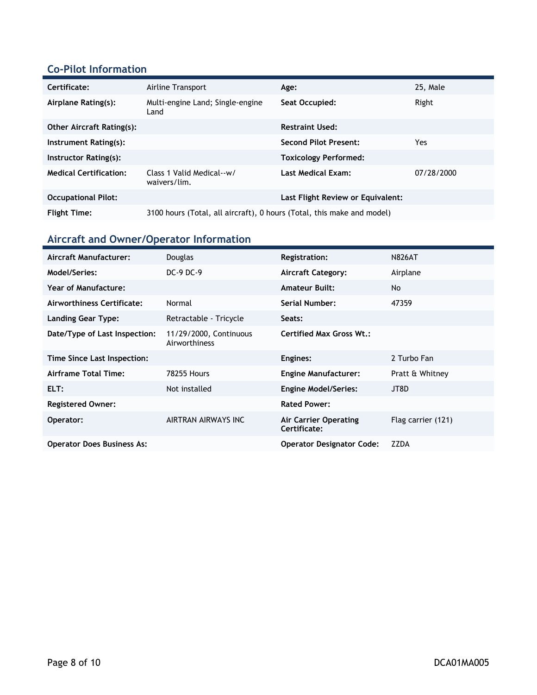### **Co-Pilot Information**

| Certificate:                     | Airline Transport                                                      | Age:                              | 25, Male   |
|----------------------------------|------------------------------------------------------------------------|-----------------------------------|------------|
| Airplane Rating(s):              | Multi-engine Land; Single-engine<br>Land                               | Seat Occupied:                    | Right      |
| <b>Other Aircraft Rating(s):</b> |                                                                        | <b>Restraint Used:</b>            |            |
| Instrument Rating(s):            |                                                                        | <b>Second Pilot Present:</b>      | Yes        |
| Instructor Rating(s):            |                                                                        | <b>Toxicology Performed:</b>      |            |
| <b>Medical Certification:</b>    | Class 1 Valid Medical--w/<br>waivers/lim.                              | Last Medical Exam:                | 07/28/2000 |
| <b>Occupational Pilot:</b>       |                                                                        | Last Flight Review or Equivalent: |            |
| <b>Flight Time:</b>              | 3100 hours (Total, all aircraft), 0 hours (Total, this make and model) |                                   |            |

# **Aircraft and Owner/Operator Information**

| Aircraft Manufacturer:            | Douglas                                 | <b>Registration:</b>                  | <b>N826AT</b>      |
|-----------------------------------|-----------------------------------------|---------------------------------------|--------------------|
| Model/Series:                     | $DC-9$ $DC-9$                           | <b>Aircraft Category:</b>             | Airplane           |
| <b>Year of Manufacture:</b>       |                                         | <b>Amateur Built:</b>                 | <b>No</b>          |
| Airworthiness Certificate:        | Normal                                  | Serial Number:                        | 47359              |
| <b>Landing Gear Type:</b>         | Retractable - Tricycle                  | Seats:                                |                    |
| Date/Type of Last Inspection:     | 11/29/2000, Continuous<br>Airworthiness | <b>Certified Max Gross Wt.:</b>       |                    |
| Time Since Last Inspection:       |                                         | Engines:                              | 2 Turbo Fan        |
| Airframe Total Time:              | <b>78255 Hours</b>                      | <b>Engine Manufacturer:</b>           | Pratt & Whitney    |
| ELT:                              | Not installed                           | <b>Engine Model/Series:</b>           | JT8D               |
| <b>Registered Owner:</b>          |                                         | <b>Rated Power:</b>                   |                    |
| Operator:                         | AIRTRAN AIRWAYS INC                     | Air Carrier Operating<br>Certificate: | Flag carrier (121) |
| <b>Operator Does Business As:</b> |                                         | <b>Operator Designator Code:</b>      | <b>ZZDA</b>        |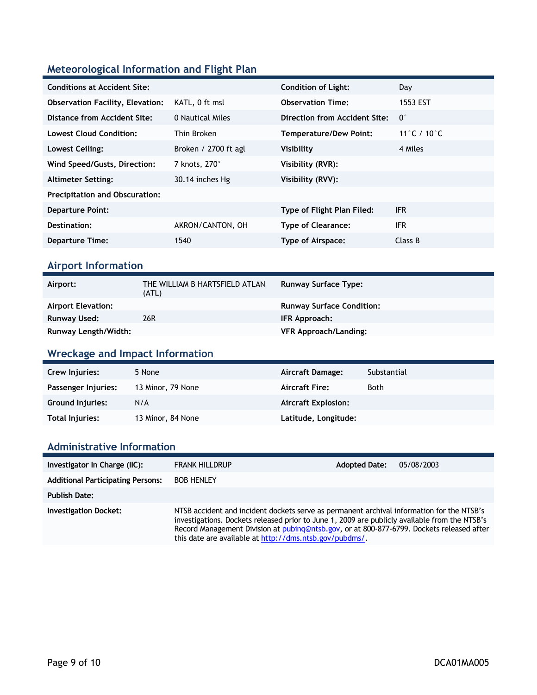## **Meteorological Information and Flight Plan**

| <b>Conditions at Accident Site:</b>     |                      | <b>Condition of Light:</b>    | Day         |
|-----------------------------------------|----------------------|-------------------------------|-------------|
| <b>Observation Facility, Elevation:</b> | KATL, 0 ft msl       | <b>Observation Time:</b>      | 1553 EST    |
| Distance from Accident Site:            | 0 Nautical Miles     | Direction from Accident Site: | $0^{\circ}$ |
| Lowest Cloud Condition:                 | Thin Broken          | <b>Temperature/Dew Point:</b> | 11°C / 10°C |
| Lowest Ceiling:                         | Broken / 2700 ft agl | Visibility                    | 4 Miles     |
| Wind Speed/Gusts, Direction:            | 7 knots, 270°        | Visibility (RVR):             |             |
| <b>Altimeter Setting:</b>               | 30.14 inches Hg      | Visibility (RVV):             |             |
| <b>Precipitation and Obscuration:</b>   |                      |                               |             |
| <b>Departure Point:</b>                 |                      | Type of Flight Plan Filed:    | <b>IFR</b>  |
| Destination:                            | AKRON/CANTON, OH     | <b>Type of Clearance:</b>     | <b>IFR</b>  |
| <b>Departure Time:</b>                  | 1540                 | <b>Type of Airspace:</b>      | Class B     |
|                                         |                      |                               |             |

### **Airport Information**

| Airport:                  | THE WILLIAM B HARTSFIELD ATLAN<br>(ATL) | <b>Runway Surface Type:</b>      |
|---------------------------|-----------------------------------------|----------------------------------|
| <b>Airport Elevation:</b> |                                         | <b>Runway Surface Condition:</b> |
| Runway Used:              | 26R                                     | IFR Approach:                    |
| Runway Length/Width:      |                                         | <b>VFR Approach/Landing:</b>     |

## **Wreckage and Impact Information**

| Crew Injuries:          | 5 None            | Aircraft Damage:           | Substantial |
|-------------------------|-------------------|----------------------------|-------------|
| Passenger Injuries:     | 13 Minor, 79 None | <b>Aircraft Fire:</b>      | <b>Both</b> |
| <b>Ground Injuries:</b> | N/A               | <b>Aircraft Explosion:</b> |             |
| Total Injuries:         | 13 Minor, 84 None | Latitude, Longitude:       |             |

## **Administrative Information**

| Investigator In Charge (IIC):            | <b>FRANK HILLDRUP</b>                                                                                                                                                                                                                                                                                                                              | <b>Adopted Date:</b> | 05/08/2003 |
|------------------------------------------|----------------------------------------------------------------------------------------------------------------------------------------------------------------------------------------------------------------------------------------------------------------------------------------------------------------------------------------------------|----------------------|------------|
| <b>Additional Participating Persons:</b> | <b>BOB HENLEY</b>                                                                                                                                                                                                                                                                                                                                  |                      |            |
| <b>Publish Date:</b>                     |                                                                                                                                                                                                                                                                                                                                                    |                      |            |
| <b>Investigation Docket:</b>             | NTSB accident and incident dockets serve as permanent archival information for the NTSB's<br>investigations. Dockets released prior to June 1, 2009 are publicly available from the NTSB's<br>Record Management Division at pubing@ntsb.gov, or at 800-877-6799. Dockets released after<br>this date are available at http://dms.ntsb.gov/pubdms/. |                      |            |